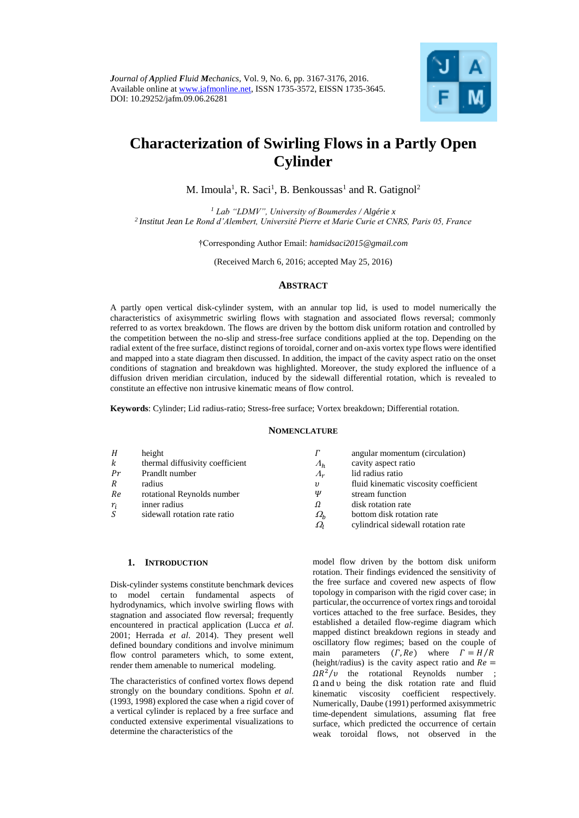

# **Characterization of Swirling Flows in a Partly Open Cylinder**

M. Imoula<sup>1</sup>, R. Saci<sup>1</sup>, B. Benkoussas<sup>1</sup> and R. Gatignol<sup>2</sup>

*<sup>1</sup> Lab "LDMV", University of Boumerdes / Algérie x 2 Institut Jean Le Rond d'Alembert, Université Pierre et Marie Curie et CNRS, Paris 05, France*

†Corresponding Author Email: *hamidsaci2015@gmail.com*

(Received March 6, 2016; accepted May 25, 2016)

# **ABSTRACT**

A partly open vertical disk-cylinder system, with an annular top lid, is used to model numerically the characteristics of axisymmetric swirling flows with stagnation and associated flows reversal; commonly referred to as vortex breakdown. The flows are driven by the bottom disk uniform rotation and controlled by the competition between the no-slip and stress-free surface conditions applied at the top. Depending on the radial extent of the free surface, distinct regions of toroidal, corner and on-axis vortex type flows were identified and mapped into a state diagram then discussed. In addition, the impact of the cavity aspect ratio on the onset conditions of stagnation and breakdown was highlighted. Moreover, the study explored the influence of a diffusion driven meridian circulation, induced by the sidewall differential rotation, which is revealed to constitute an effective non intrusive kinematic means of flow control.

**Keywords**: Cylinder; Lid radius-ratio; Stress-free surface; Vortex breakdown; Differential rotation.

### **NOMENCLATURE**

| H     | height                          | Г                   | angular momentum (circulation)        |
|-------|---------------------------------|---------------------|---------------------------------------|
| k     | thermal diffusivity coefficient | $\Lambda_h$         | cavity aspect ratio                   |
| Pr    | Prandlt number                  | $\Lambda_r$         | lid radius ratio                      |
| R     | radius                          | υ                   | fluid kinematic viscosity coefficient |
| Re    | rotational Reynolds number      | Ψ                   | stream function                       |
| $r_i$ | inner radius                    | Ω                   | disk rotation rate                    |
| S     | sidewall rotation rate ratio    | $\varOmega_{\rm h}$ | bottom disk rotation rate             |
|       |                                 | $\varOmega_{l}$     | cylindrical sidewall rotation rate    |

### **1. INTRODUCTION**

Disk-cylinder systems constitute benchmark devices to model certain fundamental aspects of hydrodynamics, which involve swirling flows with stagnation and associated flow reversal; frequently encountered in practical application (Lucca *et al*. 2001; Herrada *et al*. 2014). They present well defined boundary conditions and involve minimum flow control parameters which, to some extent, render them amenable to numerical modeling.

The characteristics of confined vortex flows depend strongly on the boundary conditions. Spohn *et al*. (1993, 1998) explored the case when a rigid cover of a vertical cylinder is replaced by a free surface and conducted extensive experimental visualizations to determine the characteristics of the

model flow driven by the bottom disk uniform rotation. Their findings evidenced the sensitivity of the free surface and covered new aspects of flow topology in comparison with the rigid cover case; in particular, the occurrence of vortex rings and toroidal vortices attached to the free surface. Besides, they established a detailed flow-regime diagram which mapped distinct breakdown regions in steady and oscillatory flow regimes; based on the couple of main parameters  $(\Gamma, Re)$  where  $\Gamma = H/R$ (height/radius) is the cavity aspect ratio and  $Re =$  $\Omega R^2/v$  the rotational Reynolds number ; Ω and υ being the disk rotation rate and fluid kinematic viscosity coefficient respectively. Numerically, Daube (1991) performed axisymmetric time-dependent simulations, assuming flat free surface, which predicted the occurrence of certain weak toroidal flows, not observed in the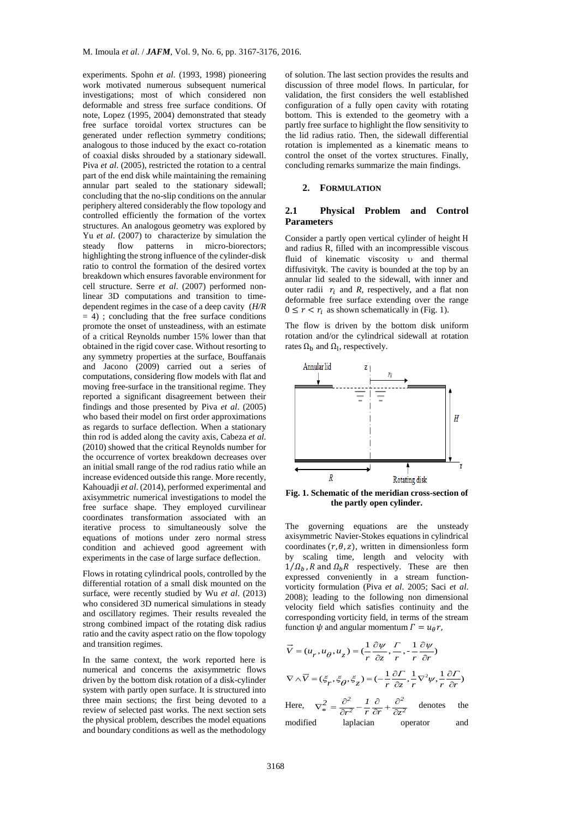experiments. Spohn *et al*. (1993, 1998) pioneering work motivated numerous subsequent numerical investigations; most of which considered non deformable and stress free surface conditions. Of note, Lopez (1995, 2004) demonstrated that steady free surface toroidal vortex structures can be generated under reflection symmetry conditions; analogous to those induced by the exact co-rotation of coaxial disks shrouded by a stationary sidewall. Piva *et al*. (2005), restricted the rotation to a central part of the end disk while maintaining the remaining annular part sealed to the stationary sidewall; concluding that the no-slip conditions on the annular periphery altered considerably the flow topology and controlled efficiently the formation of the vortex structures. An analogous geometry was explored by Yu *et al*. (2007) to characterize by simulation the steady flow patterns in micro-biorectors; highlighting the strong influence of the cylinder-disk ratio to control the formation of the desired vortex breakdown which ensures favorable environment for cell structure. Serre *et al*. (2007) performed nonlinear 3D computations and transition to timedependent regimes in the case of a deep cavity (*H/R*  $= 4$ ) ; concluding that the free surface conditions promote the onset of unsteadiness, with an estimate of a critical Reynolds number 15% lower than that obtained in the rigid cover case. Without resorting to any symmetry properties at the surface, Bouffanais and Jacono (2009) carried out a series of computations, considering flow models with flat and moving free-surface in the transitional regime. They reported a significant disagreement between their findings and those presented by Piva *et al*. (2005) who based their model on first order approximations as regards to surface deflection. When a stationary thin rod is added along the cavity axis, Cabeza *et al*. (2010) showed that the critical Reynolds number for the occurrence of vortex breakdown decreases over an initial small range of the rod radius ratio while an increase evidenced outside this range. More recently, Kahouadji *et al*. (2014), performed experimental and axisymmetric numerical investigations to model the free surface shape. They employed curvilinear coordinates transformation associated with an iterative process to simultaneously solve the equations of motions under zero normal stress condition and achieved good agreement with experiments in the case of large surface deflection.

Flows in rotating cylindrical pools, controlled by the differential rotation of a small disk mounted on the surface, were recently studied by Wu *et al*. (2013) who considered 3D numerical simulations in steady and oscillatory regimes. Their results revealed the strong combined impact of the rotating disk radius ratio and the cavity aspect ratio on the flow topology and transition regimes.

In the same context, the work reported here is numerical and concerns the axisymmetric flows driven by the bottom disk rotation of a disk-cylinder system with partly open surface. It is structured into three main sections; the first being devoted to a review of selected past works. The next section sets the physical problem, describes the model equations and boundary conditions as well as the methodology

of solution. The last section provides the results and discussion of three model flows. In particular, for validation, the first considers the well established configuration of a fully open cavity with rotating bottom. This is extended to the geometry with a partly free surface to highlight the flow sensitivity to the lid radius ratio. Then, the sidewall differential rotation is implemented as a kinematic means to control the onset of the vortex structures. Finally, concluding remarks summarize the main findings.

### **2. FORMULATION**

# **2.1 Physical Problem and Control Parameters**

Consider a partly open vertical cylinder of height H and radius R, filled with an incompressible viscous fluid of kinematic viscosity v and thermal diffusivityk. The cavity is bounded at the top by an annular lid sealed to the sidewall, with inner and outer radii  $r_i$  and *R*, respectively, and a flat non deformable free surface extending over the range  $0 \leq r < r_i$  as shown schematically in (Fig. 1).

The flow is driven by the bottom disk uniform rotation and/or the cylindrical sidewall at rotation rates  $\Omega_{\rm b}$  and  $\Omega_{\rm l}$ , respectively.



**Fig. 1. Schematic of the meridian cross-section of the partly open cylinder.**

The governing equations are the unsteady axisymmetric Navier-Stokes equations in cylindrical coordinates  $(r, \theta, z)$ , written in dimensionless form by scaling time, length and velocity with  $1/\Omega_h$ , R and  $\Omega_h R$  respectively. These are then expressed conveniently in a stream functionvorticity formulation (Piva *et al*. 2005; Saci *et al*. 2008); leading to the following non dimensional velocity field which satisfies continuity and the corresponding vorticity field, in terms of the stream function  $\psi$  and angular momentum  $\Gamma = u_{\theta} r$ ,

$$
\vec{V} = (u_r, u_\theta, u_z) = (\frac{1}{r} \frac{\partial \psi}{\partial z}, \frac{r}{r}, -\frac{1}{r} \frac{\partial \psi}{\partial r})
$$
  

$$
\nabla \wedge \vec{V} = (\xi_r, \xi_\theta, \xi_z) = (-\frac{1}{r} \frac{\partial r}{\partial z}, \frac{1}{r} \nabla^2 \psi, \frac{1}{r} \frac{\partial r}{\partial r})
$$

Here,  $\nabla^2 = \frac{\partial^2}{\partial x^2} - \frac{I}{\partial y} \frac{\partial}{\partial z} + \frac{\partial^2}{\partial z^2}$  $\frac{2}{\ast} = \frac{\partial^2}{\partial r^2} - \frac{1}{r} \frac{\partial}{\partial r} + \frac{\partial^2}{\partial z^2}$ *\**  $\nabla^2_* = \frac{\partial^2}{\partial r^2} - \frac{I}{r} \frac{\partial}{\partial r} + \frac{\partial^2}{\partial z^2}$ denotes the modified laplacian operator and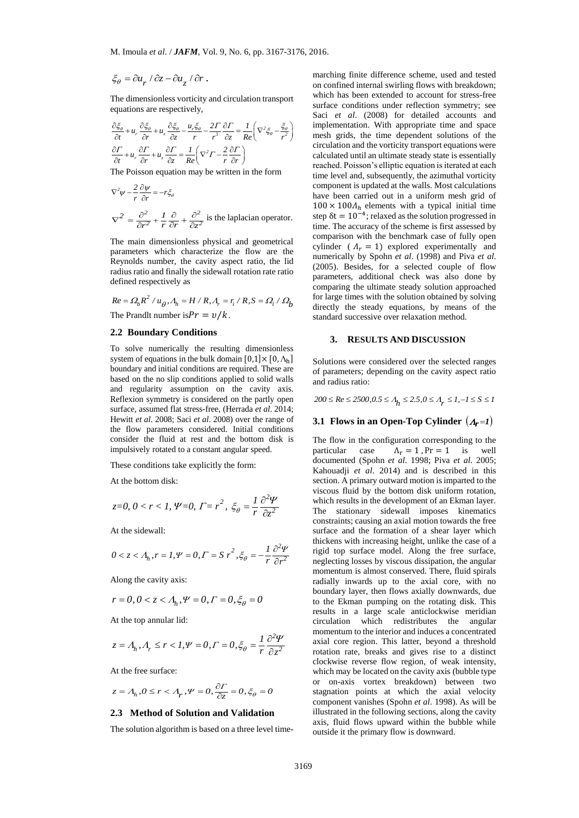$\xi_{\theta} = \partial u_r / \partial z - \partial u_z / \partial r$ .

The dimensionless vorticity and circulation transport

equations are respectively,  
\n
$$
\frac{\partial \xi_{\theta}}{\partial t} + u_r \frac{\partial \xi_{\theta}}{\partial r} + u_z \frac{\partial \xi_{\theta}}{\partial z} - \frac{u_r \xi_{\theta}}{r} - \frac{2\Gamma}{r^3} \frac{\partial \Gamma}{\partial z} = \frac{1}{Re} \left( \nabla^2 \xi_{\theta} - \frac{\xi_{\theta}}{r^2} \right) \qquad \text{in} \quad \text{and} \quad \text{and} \quad \text{and} \quad \text{and} \quad \text{and} \quad \text{and} \quad \text{and} \quad \text{and} \quad \text{and} \quad \text{and} \quad \text{and} \quad \text{and} \quad \text{and} \quad \text{and} \quad \text{and} \quad \text{and} \quad \text{and} \quad \text{and} \quad \text{and} \quad \text{and} \quad \text{and} \quad \text{and} \quad \text{and} \quad \text{and} \quad \text{and} \quad \text{and} \quad \text{and} \quad \text{and} \quad \text{and} \quad \text{and} \quad \text{and} \quad \text{and} \quad \text{and} \quad \text{and} \quad \text{and} \quad \text{and} \quad \text{and} \quad \text{and} \quad \text{and} \quad \text{and} \quad \text{and} \quad \text{and} \quad \text{and} \quad \text{and} \quad \text{and} \quad \text{and} \quad \text{and} \quad \text{and} \quad \text{and} \quad \text{and} \quad \text{and} \quad \text{and} \quad \text{and} \quad \text{and} \quad \text{and} \quad \text{and} \quad \text{and} \quad \text{and} \quad \text{and} \quad \text{and} \quad \text{and} \quad \text{and} \quad \text{and} \quad \text{and} \quad \text{and} \quad \text{and} \quad \text{and} \quad \text{and} \quad \text{and} \quad \text{and} \quad \text{and} \quad \text{and} \quad \text{and} \quad \text{and} \quad \text{and} \quad \text{and} \quad \text{and} \quad \text{and} \quad \text{and} \quad \text{and} \quad \text{and} \quad \text{and} \quad \text{and} \quad \text{and} \quad \text{and} \quad \text{and} \quad \text{and} \quad \text{and} \quad
$$

The Poisson equation may be written in the form

$$
\nabla^2 \psi - \frac{2}{r} \frac{\partial \psi}{\partial r} = -r \xi_{\theta}
$$
  

$$
\nabla^2 = \frac{\partial^2}{\partial r^2} + \frac{I}{r} \frac{\partial}{\partial r} + \frac{\partial^2}{\partial z^2}
$$
 is the laplacian operator.

The main dimensionless physical and geometrical parameters which characterize the flow are the Reynolds number, the cavity aspect ratio, the lid radius ratio and finally the sidewall rotation rate ratio defined respectively as

denoted respectively as  
\n
$$
Re = \Omega_b R^2 / u_\theta, A_h = H / R, A_r = r_i / R, S = \Omega_l / \Omega_b
$$
\nThe Prandlt number is  $Pr = v / k$ .

### **2.2 Boundary Conditions**

 $\ell \partial z - \partial u_z / \partial r$ .<br>
sionless vorticity and circulation transport<br>
re respectively,<br>
rionless vorticity and circulation transport<br>
re respectively,<br>  $\ell + u_z \frac{\partial \xi_z}{\partial z} = \frac{u_z \xi_p}{r} - \frac{2\Gamma}{r'} \frac{\partial \Gamma}{\partial z} = \frac{1}{Re} \left( \nabla^2 \xi_{\phi}$ To solve numerically the resulting dimensionless system of equations in the bulk domain  $[0,1] \times [0, \Lambda_h]$ boundary and initial conditions are required. These are based on the no slip conditions applied to solid walls and regularity assumption on the cavity axis. Reflexion symmetry is considered on the partly open surface, assumed flat stress-free, (Herrada *et al*. 2014; Hewitt *et al*. 2008; Saci *et al*. 2008) over the range of the flow parameters considered. Initial conditions consider the fluid at rest and the bottom disk is impulsively rotated to a constant angular speed.

These conditions take explicitly the form:

At the bottom disk:

$$
z=0, 0 < r < 1, \Psi=0, \Gamma=r^2, \xi_{\theta} = \frac{1}{r} \frac{\partial^2 \Psi}{\partial z^2}
$$

At the sidewall:

$$
0 < z < A_h, r = 1, \Psi = 0, \Gamma = S r^2, \xi_\theta = -\frac{1}{r} \frac{\partial^2 \Psi}{\partial r^2}
$$

Along the cavity axis:

$$
r = 0, 0 < z < A_h, \Psi = 0, \Gamma = 0, \xi_\theta = 0
$$

At the top annular lid:

$$
z=A_h, A_r\leq r < I, \Psi=0, \varGamma=0, \xi_\theta=\frac{1}{r}\frac{\partial^2\Psi}{\partial z^2}
$$

At the free surface:

$$
z = A_h, 0 \le r < A_r, \Psi = 0, \frac{\partial \Gamma}{\partial z} = 0, \xi_\theta = 0
$$

# **2.3 Method of Solution and Validation**

The solution algorithm is based on a three level time-

marching finite difference scheme, used and tested on confined internal swirling flows with breakdown; which has been extended to account for stress-free surface conditions under reflection symmetry; see Saci *et al*. (2008) for detailed accounts and implementation. With appropriate time and space mesh grids, the time dependent solutions of the circulation and the vorticity transport equations were calculated until an ultimate steady state is essentially reached. Poisson's elliptic equation is iterated at each time level and, subsequently, the azimuthal vorticity component is updated at the walls. Most calculations have been carried out in a uniform mesh grid of  $100 \times 100 \Lambda_h$  elements with a typical initial time step  $\delta t = 10^{-4}$ ; relaxed as the solution progressed in time. The accuracy of the scheme is first assessed by comparison with the benchmark case of fully open cylinder ( $\Lambda_r = 1$ ) explored experimentally and numerically by Spohn *et al*. (1998) and Piva *et al*. (2005). Besides, for a selected couple of flow parameters, additional check was also done by comparing the ultimate steady solution approached for large times with the solution obtained by solving directly the steady equations, by means of the standard successive over relaxation method.

# **3. RESULTS AND DISCUSSION**

Solutions were considered over the selected ranges of parameters; depending on the cavity aspect ratio and radius ratio:

and radius ratio:<br>  $200 \le Re \le 2500, 0.5 \le A_h \le 2.5, 0 \le A_r \le 1, -1 \le S \le I$ 

# **3.1 Flows in an Open-Top Cylinder**  $(A_r = I)$

The flow in the configuration corresponding to the particular case  $\Lambda_r = 1$ ,  $\Pr = 1$  is well documented (Spohn *et al*. 1998; Piva *et al*. 2005; Kahouadji *et al*. 2014) and is described in this section. A primary outward motion is imparted to the viscous fluid by the bottom disk uniform rotation, which results in the development of an Ekman layer. The stationary sidewall imposes kinematics constraints; causing an axial motion towards the free surface and the formation of a shear layer which thickens with increasing height, unlike the case of a rigid top surface model. Along the free surface, neglecting losses by viscous dissipation, the angular momentum is almost conserved. There, fluid spirals radially inwards up to the axial core, with no boundary layer, then flows axially downwards, due to the Ekman pumping on the rotating disk. This results in a large scale anticlockwise meridian circulation which redistributes the angular momentum to the interior and induces a concentrated axial core region. This latter, beyond a threshold rotation rate, breaks and gives rise to a distinct clockwise reverse flow region, of weak intensity, which may be located on the cavity axis (bubble type or on-axis vortex breakdown) between two stagnation points at which the axial velocity component vanishes (Spohn *et al*. 1998). As will be illustrated in the following sections, along the cavity axis, fluid flows upward within the bubble while outside it the primary flow is downward.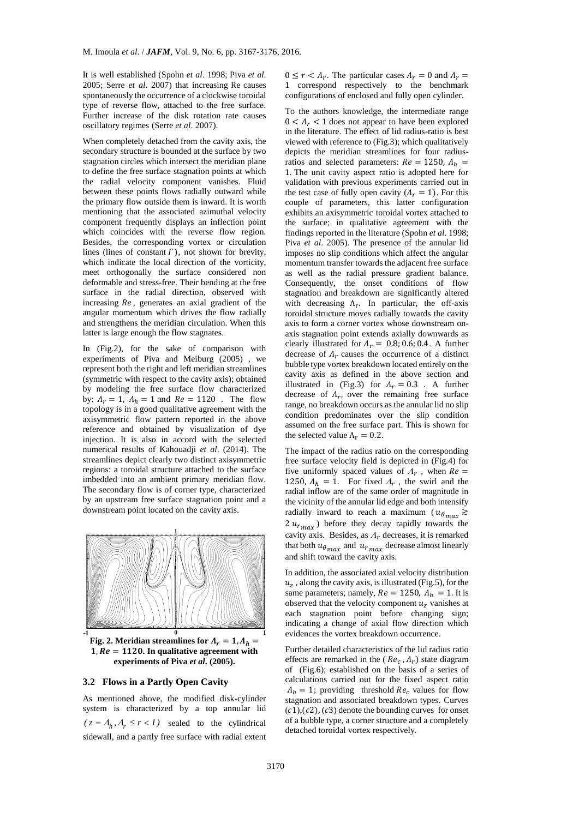It is well established (Spohn *et al*. 1998; Piva *et al*. 2005; Serre *et al*. 2007) that increasing Re causes spontaneously the occurrence of a clockwise toroidal type of reverse flow, attached to the free surface. Further increase of the disk rotation rate causes oscillatory regimes (Serre *et al*. 2007).

When completely detached from the cavity axis, the secondary structure is bounded at the surface by two stagnation circles which intersect the meridian plane to define the free surface stagnation points at which the radial velocity component vanishes. Fluid between these points flows radially outward while the primary flow outside them is inward. It is worth mentioning that the associated azimuthal velocity component frequently displays an inflection point which coincides with the reverse flow region. Besides, the corresponding vortex or circulation lines (lines of constant  $\Gamma$ ), not shown for brevity, which indicate the local direction of the vorticity, meet orthogonally the surface considered non deformable and stress-free. Their bending at the free surface in the radial direction, observed with increasing  $Re$ , generates an axial gradient of the angular momentum which drives the flow radially and strengthens the meridian circulation. When this latter is large enough the flow stagnates.

In (Fig.2), for the sake of comparison with experiments of Piva and Meiburg (2005) , we represent both the right and left meridian streamlines (symmetric with respect to the cavity axis); obtained by modeling the free surface flow characterized by:  $A_r = 1$ ,  $A_h = 1$  and  $Re = 1120$ . The flow topology is in a good qualitative agreement with the axisymmetric flow pattern reported in the above reference and obtained by visualization of dye injection. It is also in accord with the selected numerical results of Kahouadji *et al*. (2014). The streamlines depict clearly two distinct axisymmetric regions: a toroidal structure attached to the surface imbedded into an ambient primary meridian flow. The secondary flow is of corner type, characterized by an upstream free surface stagnation point and a downstream point located on the cavity axis.



**Fig.** 2. Meridian streamlines for  $\Lambda_r = 1$ ,  $\Lambda_h =$  $1, Re = 1120$ . In qualitative agreement with **experiments of Piva** *et al***. (2005).**

# **3.2 Flows in a Partly Open Cavity**

As mentioned above, the modified disk-cylinder system is characterized by a top annular lid  $(z = A_h, A_r \le r < 1)$  sealed to the cylindrical sidewall, and a partly free surface with radial extent

 $0 \le r < \Lambda_r$ . The particular cases  $\Lambda_r = 0$  and  $\Lambda_r =$ 1 correspond respectively to the benchmark configurations of enclosed and fully open cylinder.

To the authors knowledge, the intermediate range  $0 < \Lambda_r < 1$  does not appear to have been explored in the literature. The effect of lid radius-ratio is best viewed with reference to (Fig.3); which qualitatively depicts the meridian streamlines for four radiusratios and selected parameters:  $Re = 1250$ ,  $A<sub>h</sub> =$ 1. The unit cavity aspect ratio is adopted here for validation with previous experiments carried out in the test case of fully open cavity  $(A<sub>r</sub> = 1)$ . For this couple of parameters, this latter configuration exhibits an axisymmetric toroidal vortex attached to the surface; in qualitative agreement with the findings reported in the literature (Spohn *et al*. 1998; Piva *et al*. 2005). The presence of the annular lid imposes no slip conditions which affect the angular momentum transfer towards the adjacent free surface as well as the radial pressure gradient balance. Consequently, the onset conditions of flow stagnation and breakdown are significantly altered with decreasing  $\Lambda_r$ . In particular, the off-axis toroidal structure moves radially towards the cavity axis to form a corner vortex whose downstream onaxis stagnation point extends axially downwards as clearly illustrated for  $\Lambda_r = 0.8; 0.6; 0.4$ . A further decrease of  $\Lambda_r$  causes the occurrence of a distinct bubble type vortex breakdown located entirely on the cavity axis as defined in the above section and illustrated in (Fig.3) for  $\Lambda_r = 0.3$ . A further decrease of  $\Lambda_r$ , over the remaining free surface range, no breakdown occurs as the annular lid no slip condition predominates over the slip condition assumed on the free surface part. This is shown for the selected value  $\Lambda_r = 0.2$ .

The impact of the radius ratio on the corresponding free surface velocity field is depicted in (Fig.4) for five uniformly spaced values of  $A_r$ , when  $Re =$ 1250,  $\Lambda_h = 1$ . For fixed  $\Lambda_r$ , the swirl and the radial inflow are of the same order of magnitude in the vicinity of the annular lid edge and both intensify radially inward to reach a maximum ( $u_{\theta max} \gtrsim$  $2 u_{r_{max}}$ ) before they decay rapidly towards the cavity axis. Besides, as  $\Lambda_r$  decreases, it is remarked that both  $u_{\theta max}$  and  $u_{r max}$  decrease almost linearly and shift toward the cavity axis.

In addition, the associated axial velocity distribution  $u<sub>z</sub>$ , along the cavity axis, is illustrated (Fig.5), for the same parameters; namely,  $Re = 1250$ ,  $A_h = 1$ . It is observed that the velocity component  $u<sub>z</sub>$  vanishes at each stagnation point before changing sign; indicating a change of axial flow direction which evidences the vortex breakdown occurrence.

Further detailed characteristics of the lid radius ratio effects are remarked in the ( $Re<sub>c</sub>$ ,  $\Lambda<sub>r</sub>$ ) state diagram of (Fig.6); established on the basis of a series of calculations carried out for the fixed aspect ratio  $\Lambda_h = 1$ ; providing threshold  $Re_c$  values for flow stagnation and associated breakdown types. Curves  $(c1), (c2), (c3)$  denote the bounding curves for onset of a bubble type, a corner structure and a completely detached toroidal vortex respectively.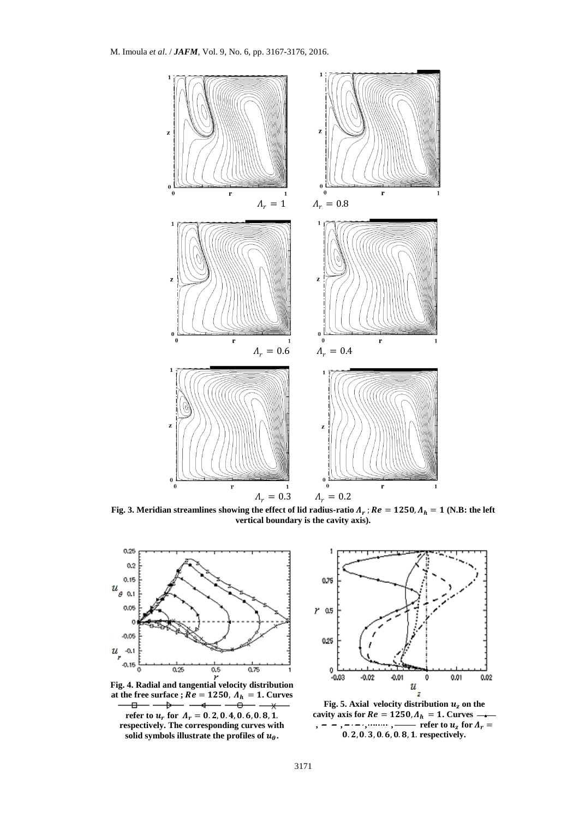

Fig. 3. Meridian streamlines showing the effect of lid radius-ratio  $\Lambda_r$  ;  $Re = 1250$ ,  $\Lambda_h = 1$  (N.B: the left **vertical boundary is the cavity axis).**



**Fig. 4. Radial and tangential velocity distribution**  at the free surface ;  $\overrightarrow{Re} = 1250$ ,  $\overrightarrow{A_h} = 1$ . Curves  **refer to**  $u_r$  **for**  $A_r = 0.2, 0.4, 0.6, 0.8, 1.$ 

**respectively. The corresponding curves with**  solid symbols illustrate the profiles of  $u_{\theta}$ .



Fig. 5. Axial velocity distribution  $u<sub>z</sub>$  on the **cavity axis for**  $Re = 1250$ **,**  $A_h = 1$ **. Curves , , , , , , , , , ) , ) c r c c c**  $u_z$  **for**  $\Lambda_r$ 0. 2, 0. 3, 0. 6, 0. 8, 1. respectively.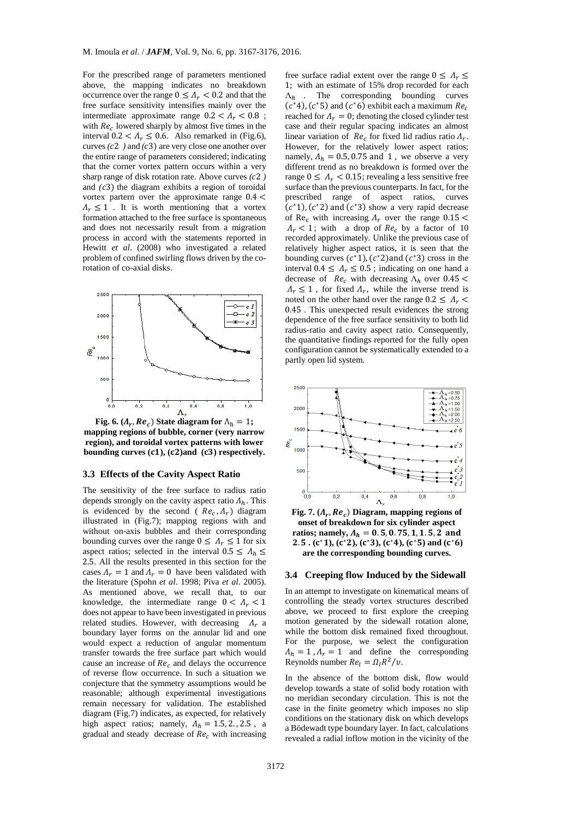For the prescribed range of parameters mentioned above, the mapping indicates no breakdown occurrence over the range  $0 \leq A_r < 0.2$  and that the free surface sensitivity intensifies mainly over the intermediate approximate range  $0.2 < A_r < 0.8$ ; with  $Re<sub>c</sub>$  lowered sharply by almost five times in the interval  $0.2 < \Lambda_r \leq 0.6$ . Also remarked in (Fig.6), curves  $(c2)$  and  $(c3)$  are very close one another over the entire range of parameters considered; indicating that the corner vortex pattern occurs within a very sharp range of disk rotation rate. Above curves  $(c2)$ and  $(c3)$  the diagram exhibits a region of toroidal vortex partern over the approximate range 0.4 <  $\Lambda_r \leq 1$ . It is worth mentioning that a vortex formation attached to the free surface is spontaneous and does not necessarily result from a migration process in accord with the statements reported in Hewitt *et al*. (2008) who investigated a related problem of confined swirling flows driven by the corotation of co-axial disks.



**Fig.** 6.  $(A_r, Re_c)$  State diagram for  $\Lambda_h = 1$ ; **mapping regions of bubble, corner (very narrow region), and toroidal vortex patterns with lower**  bounding curves  $(c1)$ ,  $(c2)$  and  $(c3)$  respectively.

### **3.3 Effects of the Cavity Aspect Ratio**

The sensitivity of the free surface to radius ratio depends strongly on the cavity aspect ratio  $\Lambda_h$ . This is evidenced by the second ( $Re<sub>c</sub>, \Lambda<sub>r</sub>$ ) diagram illustrated in (Fig.7); mapping regions with and without on-axis bubbles and their corresponding bounding curves over the range  $0 \leq \Lambda_r \leq 1$  for six aspect ratios; selected in the interval  $0.5 \leq A_h \leq$ 2.5. All the results presented in this section for the cases  $A_r = 1$  and  $A_r = 0$  have been validated with the literature (Spohn *et al*. 1998; Piva *et al*. 2005). As mentioned above, we recall that, to our knowledge, the intermediate range  $0 < \Lambda_r < 1$ does not appear to have been investigated in previous related studies. However, with decreasing  $\Lambda_r$  a boundary layer forms on the annular lid and one would expect a reduction of angular momentum transfer towards the free surface part which would cause an increase of  $Re<sub>c</sub>$  and delays the occurrence of reverse flow occurrence. In such a situation we conjecture that the symmetry assumptions would be reasonable; although experimental investigations remain necessary for validation. The established diagram (Fig.7) indicates, as expected, for relatively high aspect ratios; namely,  $A_h = 1.5, 2., 2.5$ , a gradual and steady decrease of  $Re<sub>c</sub>$  with increasing

free surface radial extent over the range  $0 \leq \Lambda_r \leq$ 1; with an estimate of 15% drop recorded for each  $\Lambda_h$  . The corresponding bounding curves  $(c*4)$ ,  $(c*5)$  and  $(c*6)$  exhibit each a maximum  $Re<sub>c</sub>$ reached for  $\Lambda_r = 0$ ; denoting the closed cylinder test case and their regular spacing indicates an almost linear variation of  $Re_c$  for fixed lid radius ratio  $\Lambda_r$ . However, for the relatively lower aspect ratios; namely,  $A_h = 0.5, 0.75$  and 1, we observe a very different trend as no breakdown is formed over the range  $0 \leq \Lambda_r < 0.15$ ; revealing a less sensitive free surface than the previous counterparts. In fact, for the prescribed range of aspect ratios, curves  $(c<sup>*</sup>1), (c<sup>*</sup>2)$  and  $(c<sup>*</sup>3)$  show a very rapid decrease of Re<sub>c</sub> with increasing  $\Lambda_r$  over the range 0.15 <  $\Lambda_r$  < 1; with a drop of  $Re_c$  by a factor of 10 recorded approximately. Unlike the previous case of relatively higher aspect ratios, it is seen that the bounding curves  $(c^*1)$ ,  $(c^*2)$  and  $(c^*3)$  cross in the interval  $0.4 \le \Lambda_r \le 0.5$ ; indicating on one hand a decrease of  $Re_c$  with decreasing  $\Lambda_h$  over 0.45 <  $\Lambda_r \leq 1$ , for fixed  $\Lambda_r$ , while the inverse trend is noted on the other hand over the range  $0.2 \leq A_r$ 0.45 . This unexpected result evidences the strong dependence of the free surface sensitivity to both lid radius-ratio and cavity aspect ratio. Consequently, the quantitative findings reported for the fully open configuration cannot be systematically extended to a partly open lid system.



Fig. 7.  $(A_r, Re_c)$  Diagram, mapping regions of **onset of breakdown for six cylinder aspect**  ratios; namely,  $A_h = 0.5, 0.75, 1, 1.5, 2$  and 2.5.  $(c^*1)$ ,  $(c^*2)$ ,  $(c^*3)$ ,  $(c^*4)$ ,  $(c^*5)$  and  $(c^*6)$ **are the corresponding bounding curves.**

#### **3.4 Creeping flow Induced by the Sidewall**

In an attempt to investigate on kinematical means of controlling the steady vortex structures described above, we proceed to first explore the creeping motion generated by the sidewall rotation alone, while the bottom disk remained fixed throughout. For the purpose, we select the configuration  $\Lambda_h = 1$ ,  $\Lambda_r = 1$  and define the corresponding Reynolds number  $Re_l = \Omega_l R^2/v$ .

In the absence of the bottom disk, flow would develop towards a state of solid body rotation with no meridian secondary circulation. This is not the case in the finite geometry which imposes no slip conditions on the stationary disk on which develops a Bödewadt type boundary layer. In fact, calculations revealed a radial inflow motion in the vicinity of the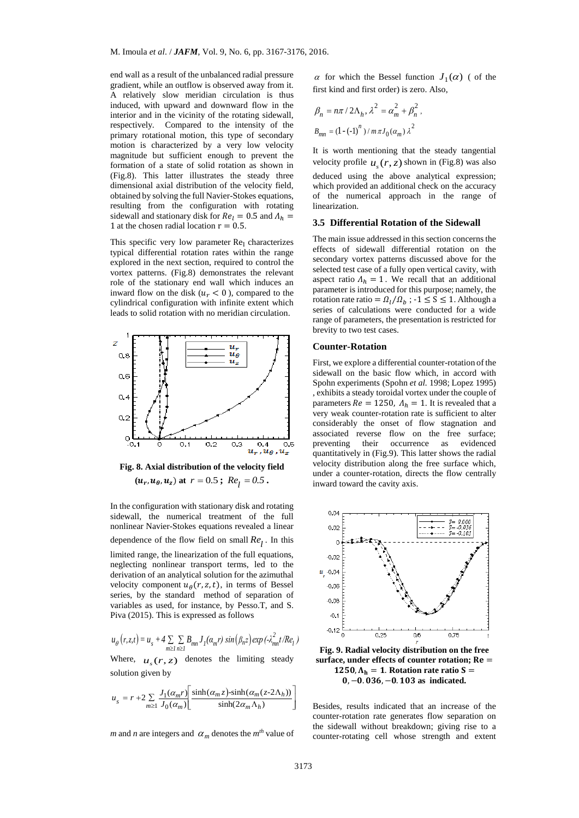end wall as a result of the unbalanced radial pressure gradient, while an outflow is observed away from it. A relatively slow meridian circulation is thus induced, with upward and downward flow in the interior and in the vicinity of the rotating sidewall, respectively. Compared to the intensity of the primary rotational motion, this type of secondary motion is characterized by a very low velocity magnitude but sufficient enough to prevent the formation of a state of solid rotation as shown in (Fig.8). This latter illustrates the steady three dimensional axial distribution of the velocity field, obtained by solving the full Navier-Stokes equations, resulting from the configuration with rotating sidewall and stationary disk for  $Re_l = 0.5$  and  $\Lambda_h =$ 1 at the chosen radial location  $r = 0.5$ .

This specific very low parameter  $Re<sub>1</sub>$  characterizes typical differential rotation rates within the range explored in the next section, required to control the vortex patterns. (Fig.8) demonstrates the relevant role of the stationary end wall which induces an inward flow on the disk ( $u_r < 0$ ), compared to the cylindrical configuration with infinite extent which leads to solid rotation with no meridian circulation.



**Fig. 8. Axial distribution of the velocity field**  $(\mathbf{u}_r, \mathbf{u}_\theta, \mathbf{u}_z)$  at  $r = 0.5$ ;  $Re_l = 0.5$ .

In the configuration with stationary disk and rotating sidewall, the numerical treatment of the full nonlinear Navier-Stokes equations revealed a linear dependence of the flow field on small  $Re_l$ . In this

limited range, the linearization of the full equations, neglecting nonlinear transport terms, led to the derivation of an analytical solution for the azimuthal velocity component  $u_{\theta}(r, z, t)$ , in terms of Bessel series, by the standard method of separation of variables as used, for instance, by Pesso.T, and S. Piva (2015). This is expressed as follows

$$
u_{\theta}(r, z, t) = u_s + 4 \sum_{m \ge 1} \sum_{n \ge 1} B_{mn} J_1(\alpha_m r) \sin(\beta_n z) \exp(-\lambda_{mn}^2 t / Re_1)
$$

Where,  $u_s(r, z)$  denotes the limiting steady solution given by

$$
u_s = r + 2 \sum_{m \ge 1} \frac{J_1(\alpha_m r)}{J_0(\alpha_m)} \left[ \frac{\sinh(\alpha_m z) - \sinh(\alpha_m (z - 2\Lambda_h))}{\sinh(2\alpha_m \Lambda_h)} \right]
$$

*m* and *n* are integers and  $\alpha_m$  denotes the  $m<sup>th</sup>$  value of

 $\alpha$  for which the Bessel function  $J_1(\alpha)$  ( of the first kind and first order) is zero. Also,

$$
\beta_n = n\pi / 2\Lambda_h, \lambda^2 = \alpha_m^2 + \beta_n^2,
$$
  

$$
B_{mn} = (1 - (-1)^n) / m\pi J_0(\alpha_m) \lambda^2
$$

It is worth mentioning that the steady tangential velocity profile  $u_s(r, z)$  shown in (Fig.8) was also deduced using the above analytical expression; which provided an additional check on the accuracy of the numerical approach in the range of linearization.

# **3.5 Differential Rotation of the Sidewall**

The main issue addressed in this section concerns the effects of sidewall differential rotation on the secondary vortex patterns discussed above for the selected test case of a fully open vertical cavity, with aspect ratio  $\Lambda_h = 1$ . We recall that an additional parameter is introduced for this purpose; namely, the rotation rate ratio =  $\Omega_l/\Omega_b$ ; -1  $\leq$  S  $\leq$  1. Although a series of calculations were conducted for a wide range of parameters, the presentation is restricted for brevity to two test cases.

### **Counter-Rotation**

First, we explore a differential counter-rotation of the sidewall on the basic flow which, in accord with Spohn experiments (Spohn *et al.* 1998; Lopez 1995) , exhibits a steady toroidal vortex under the couple of parameters  $Re = 1250$ ,  $A<sub>h</sub> = 1$ . It is revealed that a very weak counter-rotation rate is sufficient to alter considerably the onset of flow stagnation and associated reverse flow on the free surface; preventing their occurrence as evidenced quantitatively in (Fig.9). This latter shows the radial velocity distribution along the free surface which, under a counter-rotation, directs the flow centrally inward toward the cavity axis.



**Fig. 9. Radial velocity distribution on the free**  surface, under effects of counter rotation; Re =  $1250, \Lambda_h = 1$ . Rotation rate ratio S = 0, -0. 036, -0. 103 as indicated.

Besides, results indicated that an increase of the counter-rotation rate generates flow separation on the sidewall without breakdown; giving rise to a counter-rotating cell whose strength and extent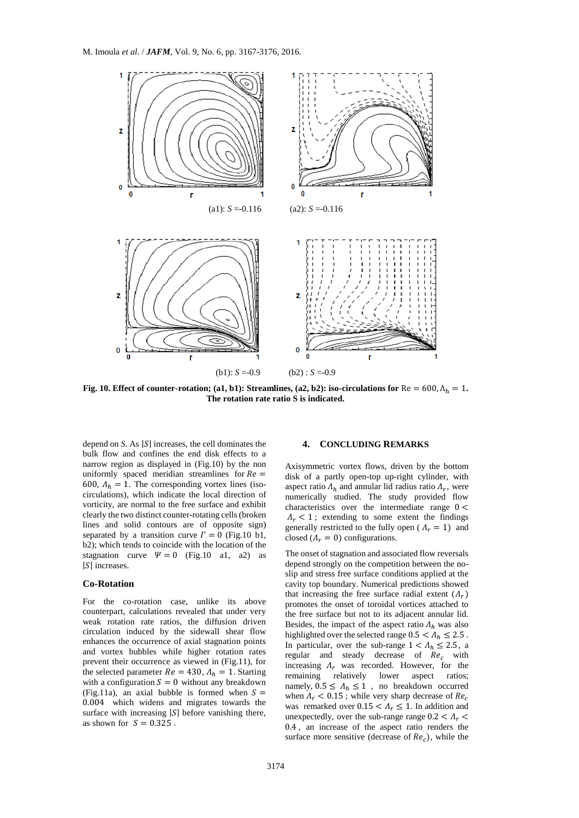

**Fig. 10. Effect of counter-rotation; (a1, b1): Streamlines, (a2, b2): iso-circulations for**  $Re = 600, \Lambda_h = 1$ . **The rotation rate ratio S is indicated.**

depend on *S*. As |*S*| increases, the cell dominates the bulk flow and confines the end disk effects to a narrow region as displayed in (Fig.10) by the non uniformly spaced meridian streamlines for  $Re =$ 600,  $A_h = 1$ . The corresponding vortex lines (isocirculations), which indicate the local direction of vorticity, are normal to the free surface and exhibit clearly the two distinct counter-rotating cells (broken lines and solid contours are of opposite sign) separated by a transition curve  $\Gamma = 0$  (Fig.10 b1, b2); which tends to coincide with the location of the stagnation curve  $\Psi = 0$  (Fig. 10 a1, a2) as  $|S|$  increases.

### **Co-Rotation**

For the co-rotation case, unlike its above counterpart, calculations revealed that under very weak rotation rate ratios, the diffusion driven circulation induced by the sidewall shear flow enhances the occurrence of axial stagnation points and vortex bubbles while higher rotation rates prevent their occurrence as viewed in (Fig.11), for the selected parameter  $Re = 430$ ,  $A<sub>h</sub> = 1$ . Starting with a configuration  $S = 0$  without any breakdown (Fig.11a), an axial bubble is formed when  $S =$ 0.004 which widens and migrates towards the surface with increasing  $|S|$  before vanishing there, as shown for  $S = 0.325$ .

## **4. CONCLUDING REMARKS**

Axisymmetric vortex flows, driven by the bottom disk of a partly open-top up-right cylinder, with aspect ratio  $\Lambda_h$  and annular lid radius ratio  $\Lambda_r$ , were numerically studied. The study provided flow characteristics over the intermediate range  $0 <$  $\Lambda_r$  < 1; extending to some extent the findings generally restricted to the fully open ( $\Lambda_r = 1$ ) and closed  $(A_r = 0)$  configurations.

The onset of stagnation and associated flow reversals depend strongly on the competition between the noslip and stress free surface conditions applied at the cavity top boundary. Numerical predictions showed that increasing the free surface radial extent  $(\Lambda_r)$ promotes the onset of toroidal vortices attached to the free surface but not to its adjacent annular lid. Besides, the impact of the aspect ratio  $\Lambda_h$  was also highlighted over the selected range  $0.5 < A_h \leq 2.5$ . In particular, over the sub-range  $1 < A_h \leq 2.5$ , a regular and steady decrease of  $Re<sub>c</sub>$  with increasing  $\Lambda_r$  was recorded. However, for the remaining relatively lower aspect ratios; namely,  $0.5 \leq \Lambda_h \leq 1$ , no breakdown occurred when  $\Lambda_r$  < 0.15; while very sharp decrease of  $Re_c$ was remarked over  $0.15 < A_r \leq 1$ . In addition and unexpectedly, over the sub-range range  $0.2 < A_r$ 0.4 , an increase of the aspect ratio renders the surface more sensitive (decrease of  $Re<sub>c</sub>$ ), while the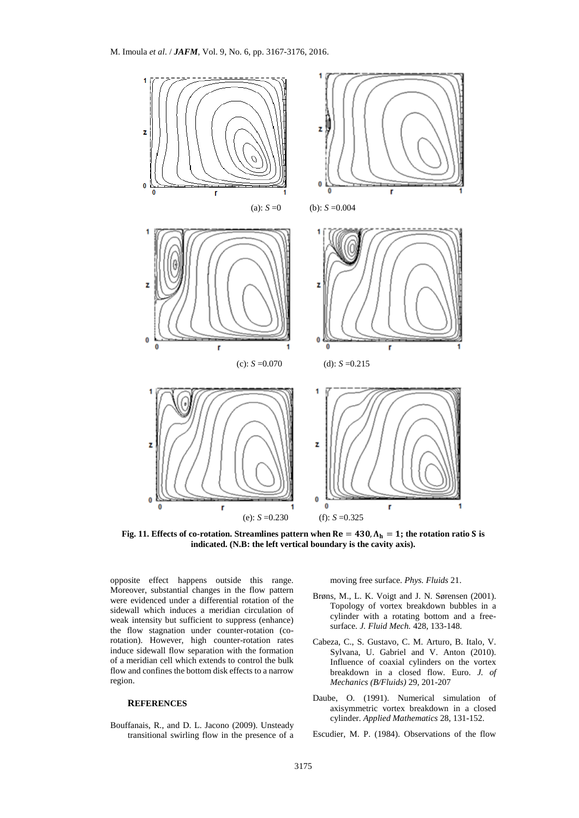

Fig. 11. Effects of co-rotation. Streamlines pattern when  $Re = 430$ ,  $\Lambda_h = 1$ ; the rotation ratio S is **indicated. (N.B: the left vertical boundary is the cavity axis).**

opposite effect happens outside this range. Moreover, substantial changes in the flow pattern were evidenced under a differential rotation of the sidewall which induces a meridian circulation of weak intensity but sufficient to suppress (enhance) the flow stagnation under counter-rotation (corotation). However, high counter-rotation rates induce sidewall flow separation with the formation of a meridian cell which extends to control the bulk flow and confines the bottom disk effects to a narrow region.

### **REFERENCES**

Bouffanais, R., and D. L. Jacono (2009). Unsteady transitional swirling flow in the presence of a moving free surface. *Phys. Fluids* 21.

- Brøns, M., L. K. Voigt and J. N. Sørensen (2001). Topology of vortex breakdown bubbles in a cylinder with a rotating bottom and a freesurface*. J. Fluid Mech.* 428, 133-148.
- Cabeza, C., S. Gustavo, C. M. Arturo, B. Italo, V. Sylvana, U. Gabriel and V. Anton (2010). Influence of coaxial cylinders on the vortex breakdown in a closed flow. Euro. *J. of Mechanics (B/Fluids)* 29, 201-207
- Daube, O. (1991). Numerical simulation of axisymmetric vortex breakdown in a closed cylinder. *Applied Mathematics* 28, 131-152.

Escudier, M. P. (1984). Observations of the flow